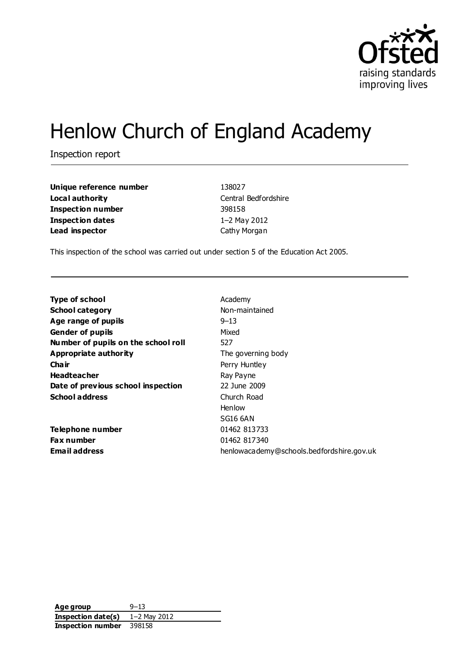

# Henlow Church of England Academy

Inspection report

**Unique reference number** 138027 **Local authority** Central Bedfordshire **Inspection number** 398158 **Inspection dates** 1–2 May 2012 **Lead inspector** Cathy Morgan

This inspection of the school was carried out under section 5 of the Education Act 2005.

| <b>Type of school</b>               | Academy                                   |
|-------------------------------------|-------------------------------------------|
| <b>School category</b>              | Non-maintained                            |
| Age range of pupils                 | $9 - 13$                                  |
| <b>Gender of pupils</b>             | Mixed                                     |
| Number of pupils on the school roll | 527                                       |
| Appropriate authority               | The governing body                        |
| Cha ir                              | Perry Huntley                             |
| <b>Headteacher</b>                  | Ray Payne                                 |
| Date of previous school inspection  | 22 June 2009                              |
| <b>School address</b>               | Church Road                               |
|                                     | Henlow                                    |
|                                     | SG16 6AN                                  |
| Telephone number                    | 01462 813733                              |
| <b>Fax number</b>                   | 01462 817340                              |
| <b>Email address</b>                | henlowacademy@schools.bedfordshire.gov.uk |

**Age group** 9–13 **Inspection date(s)** 1–2 May 2012 **Inspection number** 398158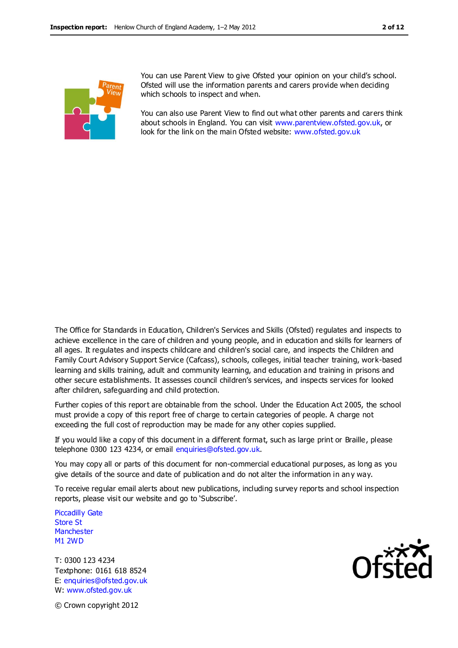

You can use Parent View to give Ofsted your opinion on your child's school. Ofsted will use the information parents and carers provide when deciding which schools to inspect and when.

You can also use Parent View to find out what other parents and carers think about schools in England. You can visit [www.parentview.ofsted.gov.uk,](http://www.parentview.ofsted.gov.uk/) or look for the link on the main Ofsted website: [www.ofsted.gov.uk](http://www.ofsted.gov.uk/)

The Office for Standards in Education, Children's Services and Skills (Ofsted) regulates and inspects to achieve excellence in the care of children and young people, and in education and skills for learners of all ages. It regulates and inspects childcare and children's social care, and inspects the Children and Family Court Advisory Support Service (Cafcass), schools, colleges, initial teacher training, work-based learning and skills training, adult and community learning, and education and training in prisons and other secure establishments. It assesses council children's services, and inspects services for looked after children, safeguarding and child protection.

Further copies of this report are obtainable from the school. Under the Education Act 2005, the school must provide a copy of this report free of charge to certain categories of people. A charge not exceeding the full cost of reproduction may be made for any other copies supplied.

If you would like a copy of this document in a different format, such as large print or Braille, please telephone 0300 123 4234, or email enquiries@ofsted.gov.uk.

You may copy all or parts of this document for non-commercial educational purposes, as long as you give details of the source and date of publication and do not alter the information in an y way.

To receive regular email alerts about new publications, including survey reports and school inspection reports, please visit our website and go to 'Subscribe'.

Piccadilly Gate Store St **Manchester** M1 2WD

T: 0300 123 4234 Textphone: 0161 618 8524 E: enquiries@ofsted.gov.uk W: www.ofsted.gov.uk



© Crown copyright 2012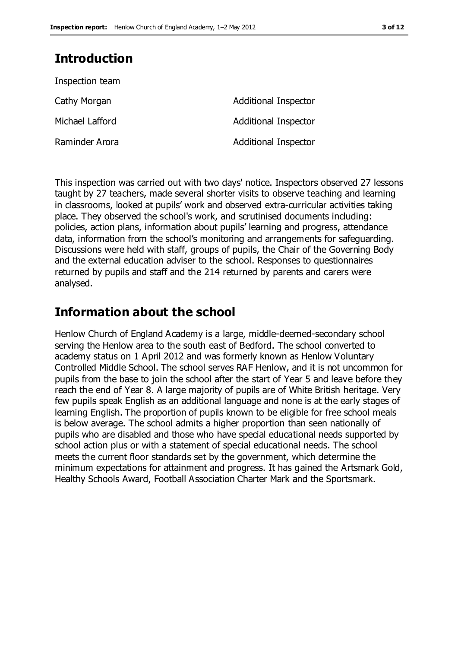## **Introduction**

| <b>Additional Inspector</b> |
|-----------------------------|
| <b>Additional Inspector</b> |
| <b>Additional Inspector</b> |
|                             |

This inspection was carried out with two days' notice. Inspectors observed 27 lessons taught by 27 teachers, made several shorter visits to observe teaching and learning in classrooms, looked at pupils' work and observed extra-curricular activities taking place. They observed the school's work, and scrutinised documents including: policies, action plans, information about pupils' learning and progress, attendance data, information from the school's monitoring and arrangements for safeguarding. Discussions were held with staff, groups of pupils, the Chair of the Governing Body and the external education adviser to the school. Responses to questionnaires returned by pupils and staff and the 214 returned by parents and carers were analysed.

## **Information about the school**

Henlow Church of England Academy is a large, middle-deemed-secondary school serving the Henlow area to the south east of Bedford. The school converted to academy status on 1 April 2012 and was formerly known as Henlow Voluntary Controlled Middle School. The school serves RAF Henlow, and it is not uncommon for pupils from the base to join the school after the start of Year 5 and leave before they reach the end of Year 8. A large majority of pupils are of White British heritage. Very few pupils speak English as an additional language and none is at the early stages of learning English. The proportion of pupils known to be eligible for free school meals is below average. The school admits a higher proportion than seen nationally of pupils who are disabled and those who have special educational needs supported by school action plus or with a statement of special educational needs. The school meets the current floor standards set by the government, which determine the minimum expectations for attainment and progress. It has gained the Artsmark Gold, Healthy Schools Award, Football Association Charter Mark and the Sportsmark.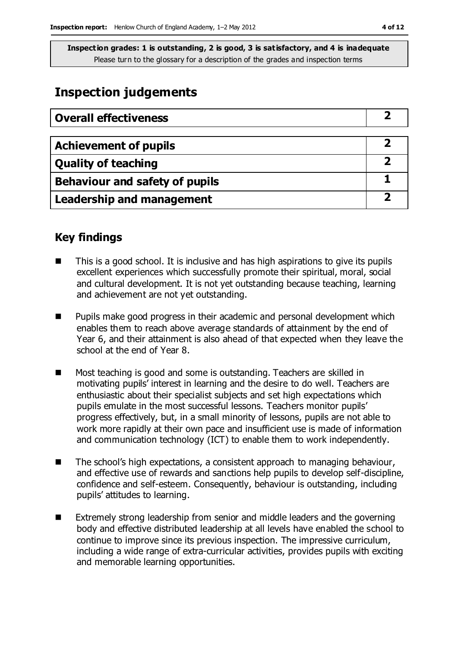## **Inspection judgements**

| <b>Overall effectiveness</b>     |  |
|----------------------------------|--|
|                                  |  |
| <b>Achievement of pupils</b>     |  |
| <b>Quality of teaching</b>       |  |
| Behaviour and safety of pupils   |  |
| <b>Leadership and management</b> |  |

### **Key findings**

- This is a good school. It is inclusive and has high aspirations to give its pupils excellent experiences which successfully promote their spiritual, moral, social and cultural development. It is not yet outstanding because teaching, learning and achievement are not yet outstanding.
- **Pupils make good progress in their academic and personal development which** enables them to reach above average standards of attainment by the end of Year 6, and their attainment is also ahead of that expected when they leave the school at the end of Year 8.
- Most teaching is good and some is outstanding. Teachers are skilled in motivating pupils' interest in learning and the desire to do well. Teachers are enthusiastic about their specialist subjects and set high expectations which pupils emulate in the most successful lessons. Teachers monitor pupils' progress effectively, but, in a small minority of lessons, pupils are not able to work more rapidly at their own pace and insufficient use is made of information and communication technology (ICT) to enable them to work independently.
- The school's high expectations, a consistent approach to managing behaviour, and effective use of rewards and sanctions help pupils to develop self-discipline, confidence and self-esteem. Consequently, behaviour is outstanding, including pupils' attitudes to learning.
- Extremely strong leadership from senior and middle leaders and the governing body and effective distributed leadership at all levels have enabled the school to continue to improve since its previous inspection. The impressive curriculum, including a wide range of extra-curricular activities, provides pupils with exciting and memorable learning opportunities.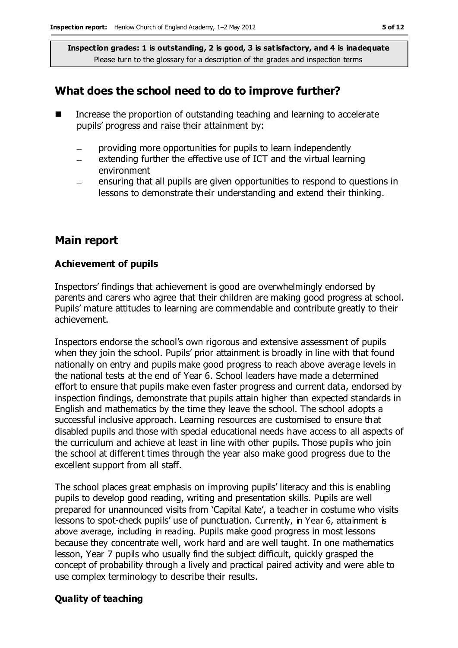## **What does the school need to do to improve further?**

- Increase the proportion of outstanding teaching and learning to accelerate pupils' progress and raise their attainment by:
	- providing more opportunities for pupils to learn independently  $\equiv$
	- extending further the effective use of ICT and the virtual learning environment
	- ensuring that all pupils are given opportunities to respond to questions in  $\overline{\phantom{0}}$ lessons to demonstrate their understanding and extend their thinking.

#### **Main report**

#### **Achievement of pupils**

Inspectors' findings that achievement is good are overwhelmingly endorsed by parents and carers who agree that their children are making good progress at school. Pupils' mature attitudes to learning are commendable and contribute greatly to their achievement.

Inspectors endorse the school's own rigorous and extensive assessment of pupils when they join the school. Pupils' prior attainment is broadly in line with that found nationally on entry and pupils make good progress to reach above average levels in the national tests at the end of Year 6. School leaders have made a determined effort to ensure that pupils make even faster progress and current data, endorsed by inspection findings, demonstrate that pupils attain higher than expected standards in English and mathematics by the time they leave the school. The school adopts a successful inclusive approach. Learning resources are customised to ensure that disabled pupils and those with special educational needs have access to all aspects of the curriculum and achieve at least in line with other pupils. Those pupils who join the school at different times through the year also make good progress due to the excellent support from all staff.

The school places great emphasis on improving pupils' literacy and this is enabling pupils to develop good reading, writing and presentation skills. Pupils are well prepared for unannounced visits from 'Capital Kate', a teacher in costume who visits lessons to spot-check pupils' use of punctuation. Currently, in Year 6, attainment is above average, including in reading. Pupils make good progress in most lessons because they concentrate well, work hard and are well taught. In one mathematics lesson, Year 7 pupils who usually find the subject difficult, quickly grasped the concept of probability through a lively and practical paired activity and were able to use complex terminology to describe their results.

#### **Quality of teaching**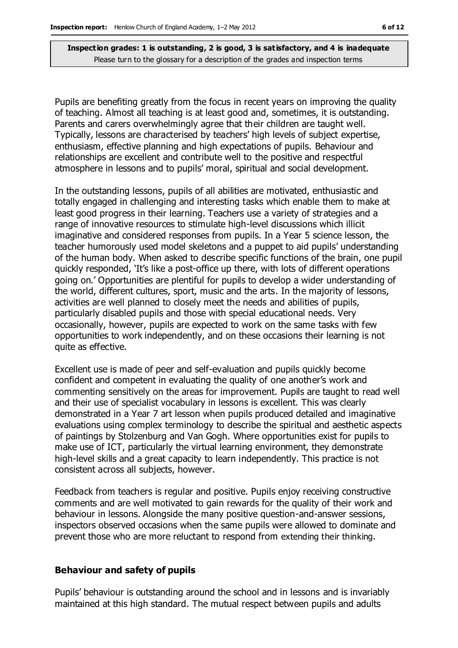Pupils are benefiting greatly from the focus in recent years on improving the quality of teaching. Almost all teaching is at least good and, sometimes, it is outstanding. Parents and carers overwhelmingly agree that their children are taught well. Typically, lessons are characterised by teachers' high levels of subject expertise, enthusiasm, effective planning and high expectations of pupils. Behaviour and relationships are excellent and contribute well to the positive and respectful atmosphere in lessons and to pupils' moral, spiritual and social development.

In the outstanding lessons, pupils of all abilities are motivated, enthusiastic and totally engaged in challenging and interesting tasks which enable them to make at least good progress in their learning. Teachers use a variety of strategies and a range of innovative resources to stimulate high-level discussions which illicit imaginative and considered responses from pupils. In a Year 5 science lesson, the teacher humorously used model skeletons and a puppet to aid pupils' understanding of the human body. When asked to describe specific functions of the brain, one pupil quickly responded, 'It's like a post-office up there, with lots of different operations going on.' Opportunities are plentiful for pupils to develop a wider understanding of the world, different cultures, sport, music and the arts. In the majority of lessons, activities are well planned to closely meet the needs and abilities of pupils, particularly disabled pupils and those with special educational needs. Very occasionally, however, pupils are expected to work on the same tasks with few opportunities to work independently, and on these occasions their learning is not quite as effective.

Excellent use is made of peer and self-evaluation and pupils quickly become confident and competent in evaluating the quality of one another's work and commenting sensitively on the areas for improvement. Pupils are taught to read well and their use of specialist vocabulary in lessons is excellent. This was clearly demonstrated in a Year 7 art lesson when pupils produced detailed and imaginative evaluations using complex terminology to describe the spiritual and aesthetic aspects of paintings by Stolzenburg and Van Gogh. Where opportunities exist for pupils to make use of ICT, particularly the virtual learning environment, they demonstrate high-level skills and a great capacity to learn independently. This practice is not consistent across all subjects, however.

Feedback from teachers is regular and positive. Pupils enjoy receiving constructive comments and are well motivated to gain rewards for the quality of their work and behaviour in lessons. Alongside the many positive question-and-answer sessions, inspectors observed occasions when the same pupils were allowed to dominate and prevent those who are more reluctant to respond from extending their thinking.

#### **Behaviour and safety of pupils**

Pupils' behaviour is outstanding around the school and in lessons and is invariably maintained at this high standard. The mutual respect between pupils and adults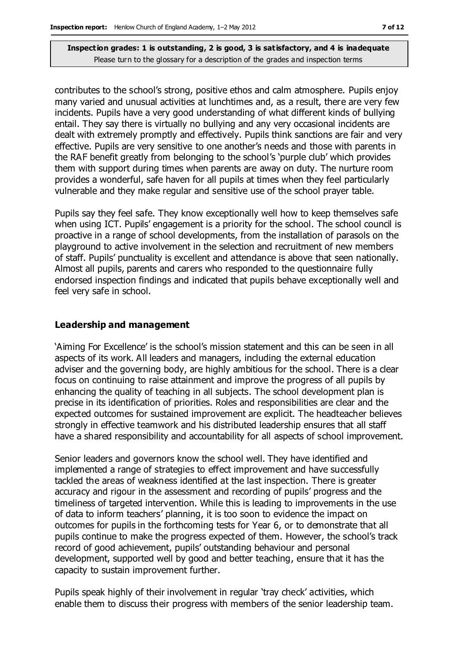contributes to the school's strong, positive ethos and calm atmosphere. Pupils enjoy many varied and unusual activities at lunchtimes and, as a result, there are very few incidents. Pupils have a very good understanding of what different kinds of bullying entail. They say there is virtually no bullying and any very occasional incidents are dealt with extremely promptly and effectively. Pupils think sanctions are fair and very effective. Pupils are very sensitive to one another's needs and those with parents in the RAF benefit greatly from belonging to the school's 'purple club' which provides them with support during times when parents are away on duty. The nurture room provides a wonderful, safe haven for all pupils at times when they feel particularly vulnerable and they make regular and sensitive use of the school prayer table.

Pupils say they feel safe. They know exceptionally well how to keep themselves safe when using ICT. Pupils' engagement is a priority for the school. The school council is proactive in a range of school developments, from the installation of parasols on the playground to active involvement in the selection and recruitment of new members of staff. Pupils' punctuality is excellent and attendance is above that seen nationally. Almost all pupils, parents and carers who responded to the questionnaire fully endorsed inspection findings and indicated that pupils behave exceptionally well and feel very safe in school.

#### **Leadership and management**

'Aiming For Excellence' is the school's mission statement and this can be seen in all aspects of its work. All leaders and managers, including the external education adviser and the governing body, are highly ambitious for the school. There is a clear focus on continuing to raise attainment and improve the progress of all pupils by enhancing the quality of teaching in all subjects. The school development plan is precise in its identification of priorities. Roles and responsibilities are clear and the expected outcomes for sustained improvement are explicit. The headteacher believes strongly in effective teamwork and his distributed leadership ensures that all staff have a shared responsibility and accountability for all aspects of school improvement.

Senior leaders and governors know the school well. They have identified and implemented a range of strategies to effect improvement and have successfully tackled the areas of weakness identified at the last inspection. There is greater accuracy and rigour in the assessment and recording of pupils' progress and the timeliness of targeted intervention. While this is leading to improvements in the use of data to inform teachers' planning, it is too soon to evidence the impact on outcomes for pupils in the forthcoming tests for Year 6, or to demonstrate that all pupils continue to make the progress expected of them. However, the school's track record of good achievement, pupils' outstanding behaviour and personal development, supported well by good and better teaching, ensure that it has the capacity to sustain improvement further.

Pupils speak highly of their involvement in regular 'tray check' activities, which enable them to discuss their progress with members of the senior leadership team.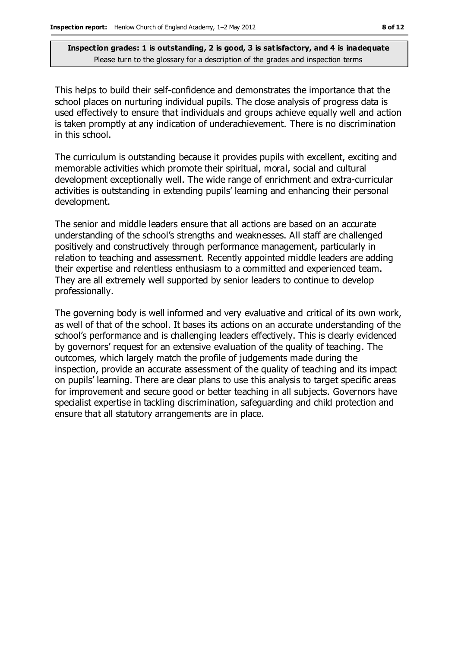This helps to build their self-confidence and demonstrates the importance that the school places on nurturing individual pupils. The close analysis of progress data is used effectively to ensure that individuals and groups achieve equally well and action is taken promptly at any indication of underachievement. There is no discrimination in this school.

The curriculum is outstanding because it provides pupils with excellent, exciting and memorable activities which promote their spiritual, moral, social and cultural development exceptionally well. The wide range of enrichment and extra-curricular activities is outstanding in extending pupils' learning and enhancing their personal development.

The senior and middle leaders ensure that all actions are based on an accurate understanding of the school's strengths and weaknesses. All staff are challenged positively and constructively through performance management, particularly in relation to teaching and assessment. Recently appointed middle leaders are adding their expertise and relentless enthusiasm to a committed and experienced team. They are all extremely well supported by senior leaders to continue to develop professionally.

The governing body is well informed and very evaluative and critical of its own work, as well of that of the school. It bases its actions on an accurate understanding of the school's performance and is challenging leaders effectively. This is clearly evidenced by governors' request for an extensive evaluation of the quality of teaching. The outcomes, which largely match the profile of judgements made during the inspection, provide an accurate assessment of the quality of teaching and its impact on pupils' learning. There are clear plans to use this analysis to target specific areas for improvement and secure good or better teaching in all subjects. Governors have specialist expertise in tackling discrimination, safeguarding and child protection and ensure that all statutory arrangements are in place.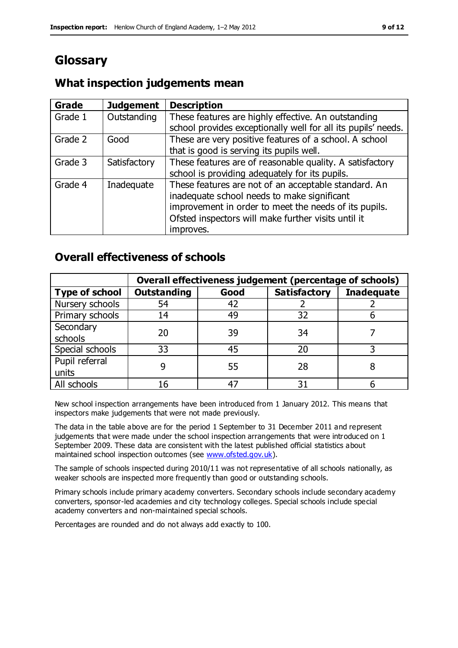## **Glossary**

#### **Grade Judgement Description** Grade  $1$  | Outstanding | These features are highly effective. An outstanding school provides exceptionally well for all its pupils' needs. Grade 2 Good These are very positive features of a school. A school that is good is serving its pupils well. Grade 3  $\parallel$  Satisfactory  $\parallel$  These features are of reasonable quality. A satisfactory school is providing adequately for its pupils. Grade 4  $\parallel$  Inadequate  $\parallel$  These features are not of an acceptable standard. An inadequate school needs to make significant improvement in order to meet the needs of its pupils. Ofsted inspectors will make further visits until it improves.

## **What inspection judgements mean**

## **Overall effectiveness of schools**

|                       | Overall effectiveness judgement (percentage of schools) |      |                     |                   |
|-----------------------|---------------------------------------------------------|------|---------------------|-------------------|
| <b>Type of school</b> | <b>Outstanding</b>                                      | Good | <b>Satisfactory</b> | <b>Inadequate</b> |
| Nursery schools       | 54                                                      | 42   |                     |                   |
| Primary schools       | 14                                                      | 49   | 32                  |                   |
| Secondary             | 20                                                      | 39   | 34                  |                   |
| schools               |                                                         |      |                     |                   |
| Special schools       | 33                                                      | 45   | 20                  |                   |
| Pupil referral        |                                                         | 55   | 28                  |                   |
| units                 |                                                         |      |                     |                   |
| All schools           |                                                         |      | م -                 |                   |

New school inspection arrangements have been introduced from 1 January 2012. This means that inspectors make judgements that were not made previously.

The data in the table above are for the period 1 September to 31 December 2011 and represent judgements that were made under the school inspection arrangements that were introduced on 1 September 2009. These data are consistent with the latest published official statistics about maintained school inspection outcomes (see [www.ofsted.gov.uk\)](http://www.ofsted.gov.uk/).

The sample of schools inspected during 2010/11 was not representative of all schools nationally, as weaker schools are inspected more frequently than good or outstanding schools.

Primary schools include primary academy converters. Secondary schools include secondary academy converters, sponsor-led academies and city technology colleges. Special schools include special academy converters and non-maintained special schools.

Percentages are rounded and do not always add exactly to 100.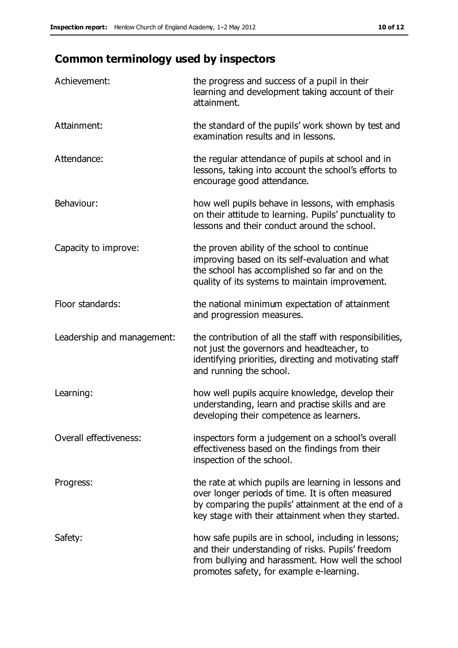# **Common terminology used by inspectors**

| Achievement:               | the progress and success of a pupil in their<br>learning and development taking account of their<br>attainment.                                                                                                        |
|----------------------------|------------------------------------------------------------------------------------------------------------------------------------------------------------------------------------------------------------------------|
| Attainment:                | the standard of the pupils' work shown by test and<br>examination results and in lessons.                                                                                                                              |
| Attendance:                | the regular attendance of pupils at school and in<br>lessons, taking into account the school's efforts to<br>encourage good attendance.                                                                                |
| Behaviour:                 | how well pupils behave in lessons, with emphasis<br>on their attitude to learning. Pupils' punctuality to<br>lessons and their conduct around the school.                                                              |
| Capacity to improve:       | the proven ability of the school to continue<br>improving based on its self-evaluation and what<br>the school has accomplished so far and on the<br>quality of its systems to maintain improvement.                    |
| Floor standards:           | the national minimum expectation of attainment<br>and progression measures.                                                                                                                                            |
| Leadership and management: | the contribution of all the staff with responsibilities,<br>not just the governors and headteacher, to<br>identifying priorities, directing and motivating staff<br>and running the school.                            |
| Learning:                  | how well pupils acquire knowledge, develop their<br>understanding, learn and practise skills and are<br>developing their competence as learners.                                                                       |
| Overall effectiveness:     | inspectors form a judgement on a school's overall<br>effectiveness based on the findings from their<br>inspection of the school.                                                                                       |
| Progress:                  | the rate at which pupils are learning in lessons and<br>over longer periods of time. It is often measured<br>by comparing the pupils' attainment at the end of a<br>key stage with their attainment when they started. |
| Safety:                    | how safe pupils are in school, including in lessons;<br>and their understanding of risks. Pupils' freedom<br>from bullying and harassment. How well the school<br>promotes safety, for example e-learning.             |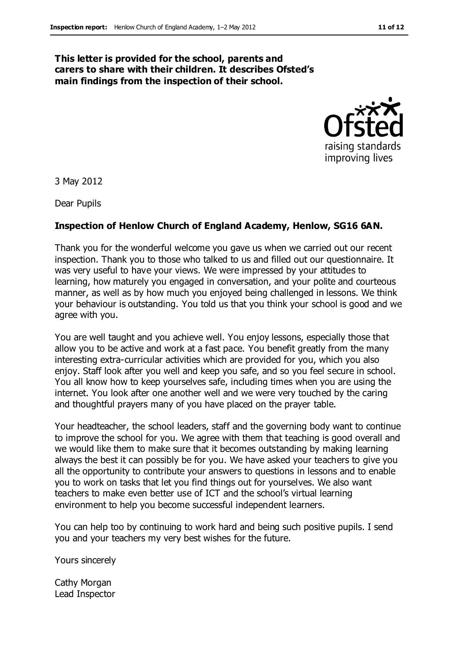#### **This letter is provided for the school, parents and carers to share with their children. It describes Ofsted's main findings from the inspection of their school.**



3 May 2012

Dear Pupils

#### **Inspection of Henlow Church of England Academy, Henlow, SG16 6AN.**

Thank you for the wonderful welcome you gave us when we carried out our recent inspection. Thank you to those who talked to us and filled out our questionnaire. It was very useful to have your views. We were impressed by your attitudes to learning, how maturely you engaged in conversation, and your polite and courteous manner, as well as by how much you enjoyed being challenged in lessons. We think your behaviour is outstanding. You told us that you think your school is good and we agree with you.

You are well taught and you achieve well. You enjoy lessons, especially those that allow you to be active and work at a fast pace. You benefit greatly from the many interesting extra-curricular activities which are provided for you, which you also enjoy. Staff look after you well and keep you safe, and so you feel secure in school. You all know how to keep yourselves safe, including times when you are using the internet. You look after one another well and we were very touched by the caring and thoughtful prayers many of you have placed on the prayer table.

Your headteacher, the school leaders, staff and the governing body want to continue to improve the school for you. We agree with them that teaching is good overall and we would like them to make sure that it becomes outstanding by making learning always the best it can possibly be for you. We have asked your teachers to give you all the opportunity to contribute your answers to questions in lessons and to enable you to work on tasks that let you find things out for yourselves. We also want teachers to make even better use of ICT and the school's virtual learning environment to help you become successful independent learners.

You can help too by continuing to work hard and being such positive pupils. I send you and your teachers my very best wishes for the future.

Yours sincerely

Cathy Morgan Lead Inspector